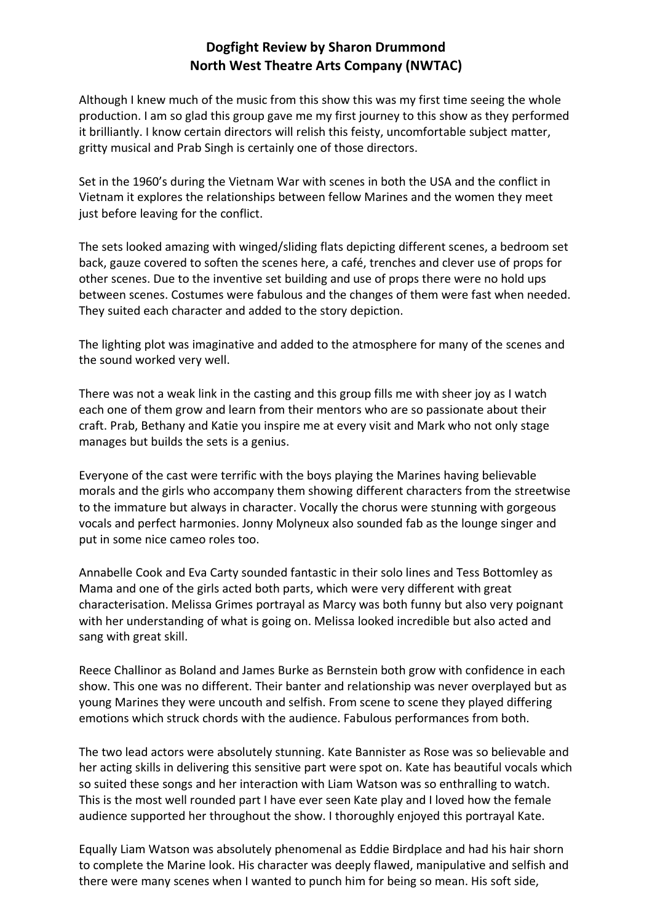## **Dogfight Review by Sharon Drummond North West Theatre Arts Company (NWTAC)**

Although I knew much of the music from this show this was my first time seeing the whole production. I am so glad this group gave me my first journey to this show as they performed it brilliantly. I know certain directors will relish this feisty, uncomfortable subject matter, gritty musical and Prab Singh is certainly one of those directors.

Set in the 1960's during the Vietnam War with scenes in both the USA and the conflict in Vietnam it explores the relationships between fellow Marines and the women they meet just before leaving for the conflict.

The sets looked amazing with winged/sliding flats depicting different scenes, a bedroom set back, gauze covered to soften the scenes here, a café, trenches and clever use of props for other scenes. Due to the inventive set building and use of props there were no hold ups between scenes. Costumes were fabulous and the changes of them were fast when needed. They suited each character and added to the story depiction.

The lighting plot was imaginative and added to the atmosphere for many of the scenes and the sound worked very well.

There was not a weak link in the casting and this group fills me with sheer joy as I watch each one of them grow and learn from their mentors who are so passionate about their craft. Prab, Bethany and Katie you inspire me at every visit and Mark who not only stage manages but builds the sets is a genius.

Everyone of the cast were terrific with the boys playing the Marines having believable morals and the girls who accompany them showing different characters from the streetwise to the immature but always in character. Vocally the chorus were stunning with gorgeous vocals and perfect harmonies. Jonny Molyneux also sounded fab as the lounge singer and put in some nice cameo roles too.

Annabelle Cook and Eva Carty sounded fantastic in their solo lines and Tess Bottomley as Mama and one of the girls acted both parts, which were very different with great characterisation. Melissa Grimes portrayal as Marcy was both funny but also very poignant with her understanding of what is going on. Melissa looked incredible but also acted and sang with great skill.

Reece Challinor as Boland and James Burke as Bernstein both grow with confidence in each show. This one was no different. Their banter and relationship was never overplayed but as young Marines they were uncouth and selfish. From scene to scene they played differing emotions which struck chords with the audience. Fabulous performances from both.

The two lead actors were absolutely stunning. Kate Bannister as Rose was so believable and her acting skills in delivering this sensitive part were spot on. Kate has beautiful vocals which so suited these songs and her interaction with Liam Watson was so enthralling to watch. This is the most well rounded part I have ever seen Kate play and I loved how the female audience supported her throughout the show. I thoroughly enjoyed this portrayal Kate.

Equally Liam Watson was absolutely phenomenal as Eddie Birdplace and had his hair shorn to complete the Marine look. His character was deeply flawed, manipulative and selfish and there were many scenes when I wanted to punch him for being so mean. His soft side,